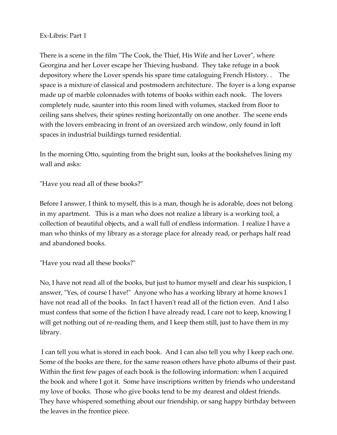## Ex-Libris: Part 1

There is a scene in the film "The Cook, the Thief, His Wife and her Lover", where Georgina and her Lover escape her Thieving husband. They take refuge in a book depository where the Lover spends his spare time cataloguing French History. . The space is a mixture of classical and postmodern architecture. The foyer is a long expanse made up of marble colonnades with totems of books within each nook. The lovers completely nude, saunter into this room lined with volumes, stacked from floor to ceiling sans shelves, their spines resting horizontally on one another. The scene ends with the lovers embracing in front of an oversized arch window, only found in loft spaces in industrial buildings turned residential.

In the morning Otto, squinting from the bright sun, looks at the bookshelves lining my wall and asks:

"Have you read all of these books?"

Before I answer, I think to myself, this is a man, though he is adorable, does not belong in my apartment. This is a man who does not realize a library is a working tool, a collection of beautiful objects, and a wall full of endless information. I realize I have a man who thinks of my library as a storage place for already read, or perhaps half read and abandoned books.

"Have you read all these books?"

No, I have not read all of the books, but just to humor myself and clear his suspicion, I answer, "Yes, of course I have!" Anyone who has a working library at home knows I have not read all of the books. In fact I haven't read all of the fiction even. And I also must confess that some of the fiction I have already read, I care not to keep, knowing I will get nothing out of re-reading them, and I keep them still, just to have them in my library.

 I can tell you what is stored in each book. And I can also tell you why I keep each one. Some of the books are there, for the same reason others have photo albums of their past. Within the first few pages of each book is the following information: when I acquired the book and where I got it. Some have inscriptions written by friends who understand my love of books. Those who give books tend to be my dearest and oldest friends. They have whispered something about our friendship, or sang happy birthday between the leaves in the frontice piece.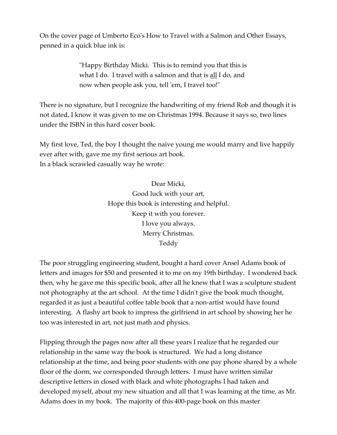On the cover page of Umberto Eco's How to Travel with a Salmon and Other Essays, penned in a quick blue ink is:

> "Happy Birthday Micki. This is to remind you that this is what I do. I travel with a salmon and that is all I do, and now when people ask you, tell 'em, I travel too!"

There is no signature, but I recognize the handwriting of my friend Rob and though it is not dated, I know it was given to me on Christmas 1994. Because it says so, two lines under the ISBN in this hard cover book.

My first love, Ted, the boy I thought the naive young me would marry and live happily ever after with, gave me my first serious art book. In a black scrawled casually way he wrote:

> Dear Micki, Good luck with your art, Hope this book is interesting and helpful. Keep it with you forever. I love you always. Merry Christmas. Teddy

The poor struggling engineering student, bought a hard cover Ansel Adams book of letters and images for \$50 and presented it to me on my 19th birthday. I wondered back then, why he gave me this specific book, after all he knew that I was a sculpture student not photography at the art school. At the time I didn't give the book much thought, regarded it as just a beautiful coffee table book that a non-artist would have found interesting. A flashy art book to impress the girlfriend in art school by showing her he too was interested in art, not just math and physics.

Flipping through the pages now after all these years I realize that he regarded our relationship in the same way the book is structured. We had a long distance relationship at the time, and being poor students with one pay phone shared by a whole floor of the dorm, we corresponded through letters. I must have written similar descriptive letters in closed with black and white photographs I had taken and developed myself, about my new situation and all that I was learning at the time, as Mr. Adams does in my book. The majority of this 400-page book on this master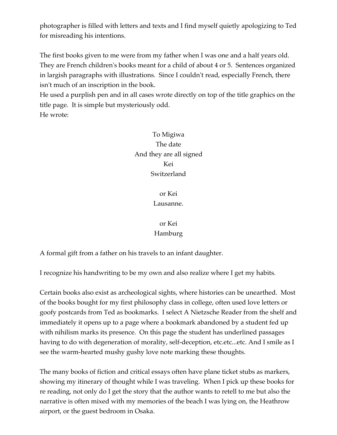photographer is filled with letters and texts and I find myself quietly apologizing to Ted for misreading his intentions.

The first books given to me were from my father when I was one and a half years old. They are French children's books meant for a child of about 4 or 5. Sentences organized in largish paragraphs with illustrations. Since I couldn't read, especially French, there isn't much of an inscription in the book.

He used a purplish pen and in all cases wrote directly on top of the title graphics on the title page. It is simple but mysteriously odd. He wrote:

To Migiwa The date And they are all signed Kei Switzerland

> or Kei Lausanne.

## or Kei Hamburg

A formal gift from a father on his travels to an infant daughter.

I recognize his handwriting to be my own and also realize where I get my habits.

Certain books also exist as archeological sights, where histories can be unearthed. Most of the books bought for my first philosophy class in college, often used love letters or goofy postcards from Ted as bookmarks. I select A Nietzsche Reader from the shelf and immediately it opens up to a page where a bookmark abandoned by a student fed up with nihilism marks its presence. On this page the student has underlined passages having to do with degeneration of morality, self-deception, etc.etc...etc. And I smile as I see the warm-hearted mushy gushy love note marking these thoughts.

The many books of fiction and critical essays often have plane ticket stubs as markers, showing my itinerary of thought while I was traveling. When I pick up these books for re reading, not only do I get the story that the author wants to retell to me but also the narrative is often mixed with my memories of the beach I was lying on, the Heathrow airport, or the guest bedroom in Osaka.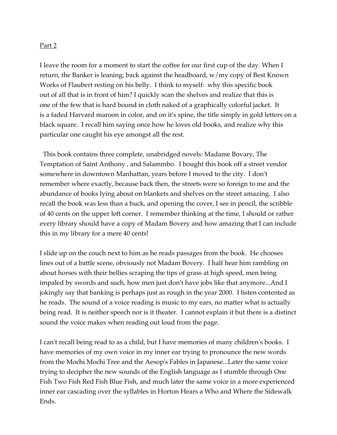## Part 2

I leave the room for a moment to start the coffee for our first cup of the day. When I return, the Banker is leaning, back against the headboard,  $w/my$  copy of Best Known Works of Flaubert resting on his belly. I think to myself: why this specific book out of all that is in front of him? I quickly scan the shelves and realize that this is one of the few that is hard bound in cloth naked of a graphically colorful jacket. It is a faded Harvard maroon in color, and on it's spine, the title simply in gold letters on a black square. I recall him saying once how he loves old books, and realize why this particular one caught his eye amongst all the rest.

 This book contains three complete, unabridged novels: Madame Bovary, The Temptation of Saint Anthony , and Salammbo. I bought this book off a street vendor somewhere in downtown Manhattan, years before I moved to the city. I don't remember where exactly, because back then, the streets were so foreign to me and the abundance of books lying about on blankets and shelves on the street amazing. I also recall the book was less than a buck, and opening the cover, I see in pencil, the scribble of 40 cents on the upper left corner. I remember thinking at the time, I should or rather every library should have a copy of Madam Bovery and how amazing that I can include this in my library for a mere 40 cents!

I slide up on the couch next to him as he reads passages from the book. He chooses lines out of a battle scene, obviously not Madam Bovery. I half hear him rambling on about horses with their bellies scraping the tips of grass at high speed, men being impaled by swords and such, how men just don't have jobs like that anymore...And I jokingly say that banking is perhaps just as rough in the year 2000. I listen contented as he reads. The sound of a voice reading is music to my ears, no matter what is actually being read. It is neither speech nor is it theater. I cannot explain it but there is a distinct sound the voice makes when reading out loud from the page.

I can't recall being read to as a child, but I have memories of many children's books. I have memories of my own voice in my inner ear trying to pronounce the new words from the Mochi Mochi Tree and the Aesop's Fables in Japanese...Later the same voice trying to decipher the new sounds of the English language as I stumble through One Fish Two Fish Red Fish Blue Fish, and much later the same voice in a more experienced inner ear cascading over the syllables in Horton Hears a Who and Where the Sidewalk Ends.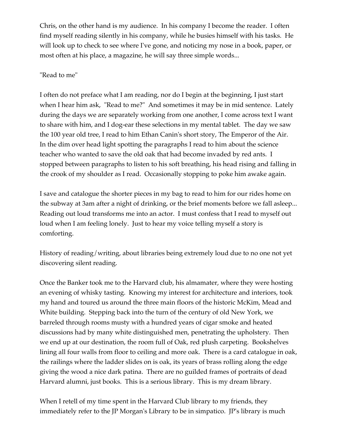Chris, on the other hand is my audience. In his company I become the reader. I often find myself reading silently in his company, while he busies himself with his tasks. He will look up to check to see where I've gone, and noticing my nose in a book, paper, or most often at his place, a magazine, he will say three simple words...

## "Read to me"

I often do not preface what I am reading, nor do I begin at the beginning, I just start when I hear him ask, "Read to me?" And sometimes it may be in mid sentence. Lately during the days we are separately working from one another, I come across text I want to share with him, and I dog-ear these selections in my mental tablet. The day we saw the 100 year old tree, I read to him Ethan Canin's short story, The Emperor of the Air. In the dim over head light spotting the paragraphs I read to him about the science teacher who wanted to save the old oak that had become invaded by red ants. I stopped between paragraphs to listen to his soft breathing, his head rising and falling in the crook of my shoulder as I read. Occasionally stopping to poke him awake again.

I save and catalogue the shorter pieces in my bag to read to him for our rides home on the subway at 3am after a night of drinking, or the brief moments before we fall asleep... Reading out loud transforms me into an actor. I must confess that I read to myself out loud when I am feeling lonely. Just to hear my voice telling myself a story is comforting.

History of reading/writing, about libraries being extremely loud due to no one not yet discovering silent reading.

Once the Banker took me to the Harvard club, his almamater, where they were hosting an evening of whisky tasting. Knowing my interest for architecture and interiors, took my hand and toured us around the three main floors of the historic McKim, Mead and White building. Stepping back into the turn of the century of old New York, we barreled through rooms musty with a hundred years of cigar smoke and heated discussions had by many white distinguished men, penetrating the upholstery. Then we end up at our destination, the room full of Oak, red plush carpeting. Bookshelves lining all four walls from floor to ceiling and more oak. There is a card catalogue in oak, the railings where the ladder slides on is oak, its years of brass rolling along the edge giving the wood a nice dark patina. There are no guilded frames of portraits of dead Harvard alumni, just books. This is a serious library. This is my dream library.

When I retell of my time spent in the Harvard Club library to my friends, they immediately refer to the JP Morgan's Library to be in simpatico. JP's library is much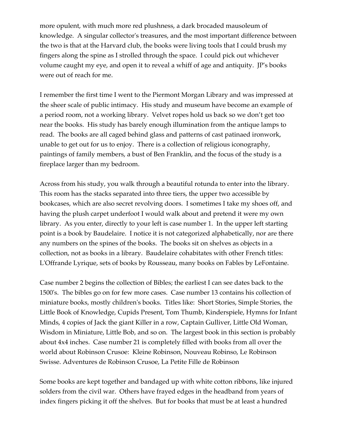more opulent, with much more red plushness, a dark brocaded mausoleum of knowledge. A singular collector's treasures, and the most important difference between the two is that at the Harvard club, the books were living tools that I could brush my fingers along the spine as I strolled through the space. I could pick out whichever volume caught my eye, and open it to reveal a whiff of age and antiquity. JP's books were out of reach for me.

I remember the first time I went to the Piermont Morgan Library and was impressed at the sheer scale of public intimacy. His study and museum have become an example of a period room, not a working library. Velvet ropes hold us back so we don't get too near the books. His study has barely enough illumination from the antique lamps to read. The books are all caged behind glass and patterns of cast patinaed ironwork, unable to get out for us to enjoy. There is a collection of religious iconography, paintings of family members, a bust of Ben Franklin, and the focus of the study is a fireplace larger than my bedroom.

Across from his study, you walk through a beautiful rotunda to enter into the library. This room has the stacks separated into three tiers, the upper two accessible by bookcases, which are also secret revolving doors. I sometimes I take my shoes off, and having the plush carpet underfoot I would walk about and pretend it were my own library. As you enter, directly to your left is case number 1. In the upper left starting point is a book by Baudelaire. I notice it is not categorized alphabetically, nor are there any numbers on the spines of the books. The books sit on shelves as objects in a collection, not as books in a library. Baudelaire cohabitates with other French titles: L'Offrande Lyrique, sets of books by Rousseau, many books on Fables by LeFontaine.

Case number 2 begins the collection of Bibles; the earliest I can see dates back to the 1500's. The bibles go on for few more cases. Case number 13 contains his collection of miniature books, mostly children's books. Titles like: Short Stories, Simple Stories, the Little Book of Knowledge, Cupids Present, Tom Thumb, Kinderspiele, Hymns for Infant Minds, 4 copies of Jack the giant Killer in a row, Captain Gulliver, Little Old Woman, Wisdom in Miniature, Little Bob, and so on. The largest book in this section is probably about 4x4 inches. Case number 21 is completely filled with books from all over the world about Robinson Crusoe: Kleine Robinson, Nouveau Robinso, Le Robinson Swisse. Adventures de Robinson Crusoe, La Petite Fille de Robinson

Some books are kept together and bandaged up with white cotton ribbons, like injured solders from the civil war. Others have frayed edges in the headband from years of index fingers picking it off the shelves. But for books that must be at least a hundred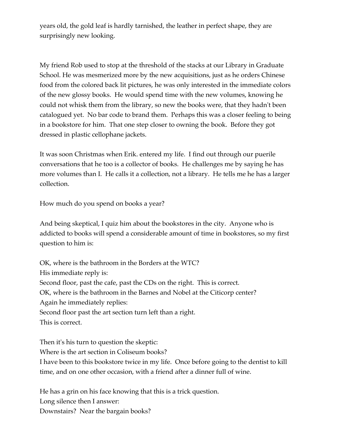years old, the gold leaf is hardly tarnished, the leather in perfect shape, they are surprisingly new looking.

My friend Rob used to stop at the threshold of the stacks at our Library in Graduate School. He was mesmerized more by the new acquisitions, just as he orders Chinese food from the colored back lit pictures, he was only interested in the immediate colors of the new glossy books. He would spend time with the new volumes, knowing he could not whisk them from the library, so new the books were, that they hadn't been catalogued yet. No bar code to brand them. Perhaps this was a closer feeling to being in a bookstore for him. That one step closer to owning the book. Before they got dressed in plastic cellophane jackets.

It was soon Christmas when Erik. entered my life. I find out through our puerile conversations that he too is a collector of books. He challenges me by saying he has more volumes than I. He calls it a collection, not a library. He tells me he has a larger collection.

How much do you spend on books a year?

And being skeptical, I quiz him about the bookstores in the city. Anyone who is addicted to books will spend a considerable amount of time in bookstores, so my first question to him is:

OK, where is the bathroom in the Borders at the WTC? His immediate reply is: Second floor, past the cafe, past the CDs on the right. This is correct. OK, where is the bathroom in the Barnes and Nobel at the Citicorp center? Again he immediately replies: Second floor past the art section turn left than a right. This is correct.

Then it's his turn to question the skeptic: Where is the art section in Coliseum books? I have been to this bookstore twice in my life. Once before going to the dentist to kill time, and on one other occasion, with a friend after a dinner full of wine.

He has a grin on his face knowing that this is a trick question. Long silence then I answer: Downstairs? Near the bargain books?